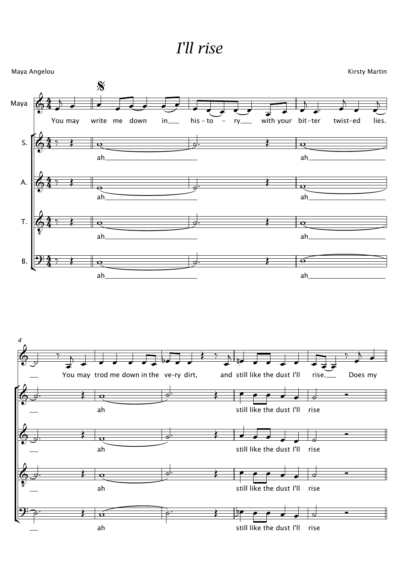## *I'll rise*

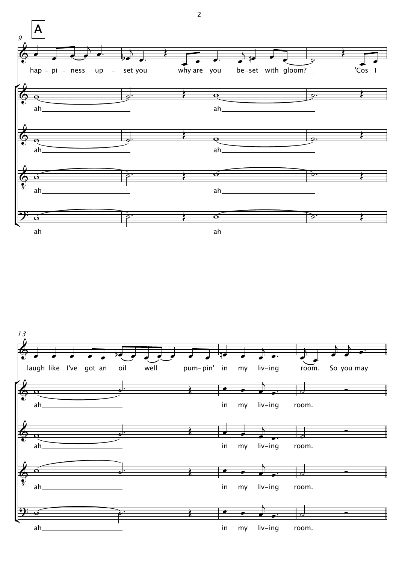

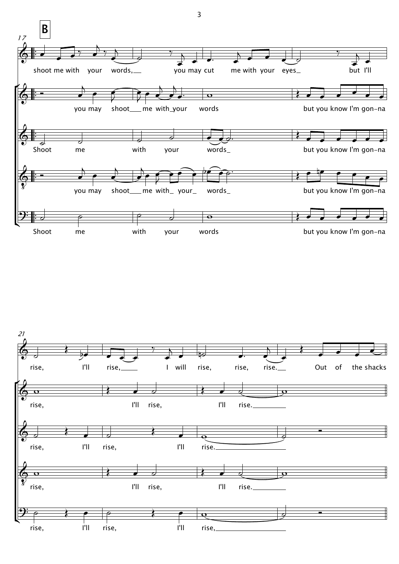

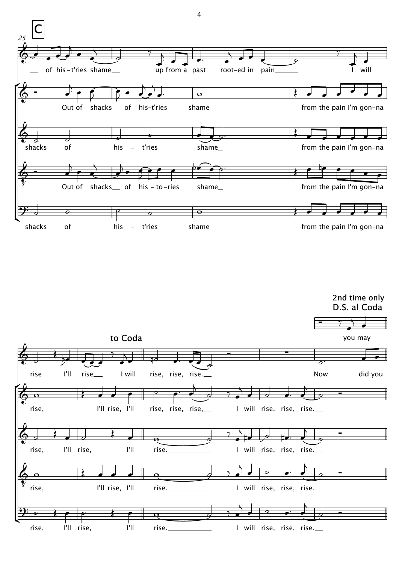

2nd time only D.S. al Coda



 $\overline{4}$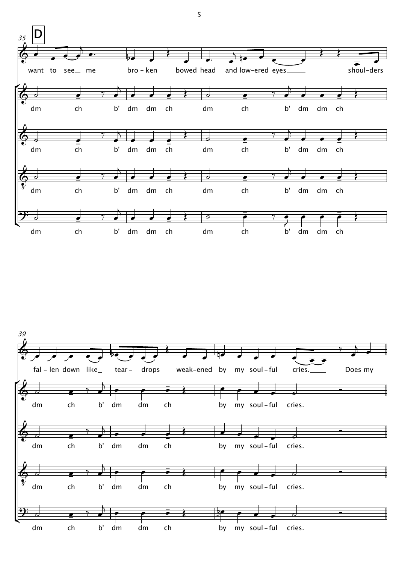

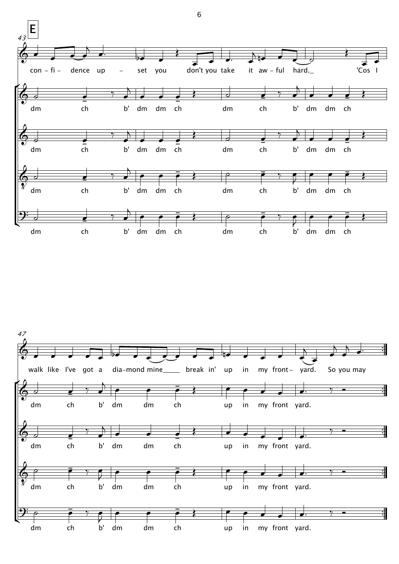

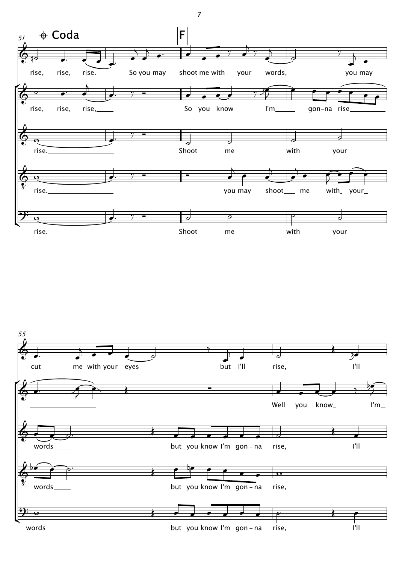



7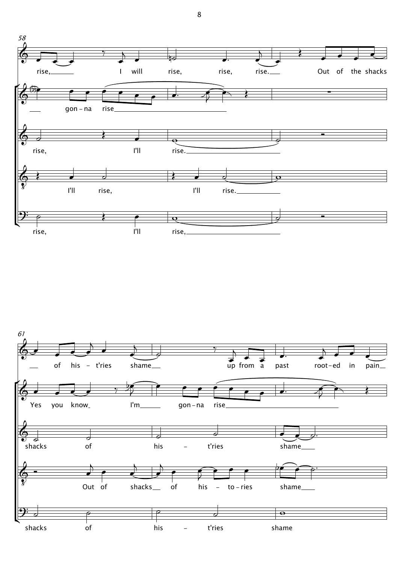